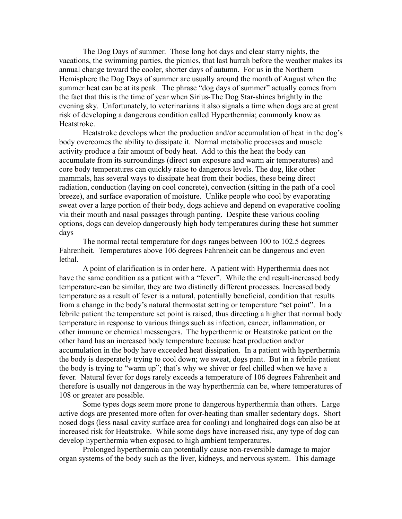The Dog Days of summer. Those long hot days and clear starry nights, the vacations, the swimming parties, the picnics, that last hurrah before the weather makes its annual change toward the cooler, shorter days of autumn. For us in the Northern Hemisphere the Dog Days of summer are usually around the month of August when the summer heat can be at its peak. The phrase "dog days of summer" actually comes from the fact that this is the time of year when Sirius-The Dog Star-shines brightly in the evening sky. Unfortunately, to veterinarians it also signals a time when dogs are at great risk of developing a dangerous condition called Hyperthermia; commonly know as Heatstroke.

Heatstroke develops when the production and/or accumulation of heat in the dog's body overcomes the ability to dissipate it. Normal metabolic processes and muscle activity produce a fair amount of body heat. Add to this the heat the body can accumulate from its surroundings (direct sun exposure and warm air temperatures) and core body temperatures can quickly raise to dangerous levels. The dog, like other mammals, has several ways to dissipate heat from their bodies, these being direct radiation, conduction (laying on cool concrete), convection (sitting in the path of a cool breeze), and surface evaporation of moisture. Unlike people who cool by evaporating sweat over a large portion of their body, dogs achieve and depend on evaporative cooling via their mouth and nasal passages through panting. Despite these various cooling options, dogs can develop dangerously high body temperatures during these hot summer days

The normal rectal temperature for dogs ranges between 100 to 102.5 degrees Fahrenheit. Temperatures above 106 degrees Fahrenheit can be dangerous and even lethal.

A point of clarification is in order here. A patient with Hyperthermia does not have the same condition as a patient with a "fever". While the end result-increased body temperature-can be similar, they are two distinctly different processes. Increased body temperature as a result of fever is a natural, potentially beneficial, condition that results from a change in the body's natural thermostat setting or temperature "set point". In a febrile patient the temperature set point is raised, thus directing a higher that normal body temperature in response to various things such as infection, cancer, inflammation, or other immune or chemical messengers. The hyperthermic or Heatstroke patient on the other hand has an increased body temperature because heat production and/or accumulation in the body have exceeded heat dissipation. In a patient with hyperthermia the body is desperately trying to cool down; we sweat, dogs pant. But in a febrile patient the body is trying to "warm up"; that's why we shiver or feel chilled when we have a fever. Natural fever for dogs rarely exceeds a temperature of 106 degrees Fahrenheit and therefore is usually not dangerous in the way hyperthermia can be, where temperatures of 108 or greater are possible.

Some types dogs seem more prone to dangerous hyperthermia than others. Large active dogs are presented more often for over-heating than smaller sedentary dogs. Short nosed dogs (less nasal cavity surface area for cooling) and longhaired dogs can also be at increased risk for Heatstroke. While some dogs have increased risk, any type of dog can develop hyperthermia when exposed to high ambient temperatures.

Prolonged hyperthermia can potentially cause non-reversible damage to major organ systems of the body such as the liver, kidneys, and nervous system. This damage